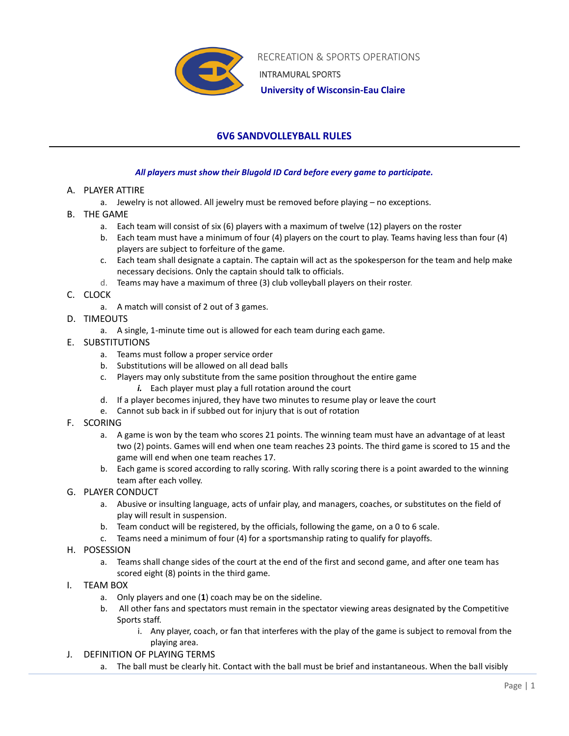

 RECREATION & SPORTS OPERATIONS INTRAMURAL SPORTS

 **University of Wisconsin-Eau Claire**

## **6V6 SANDVOLLEYBALL RULES**

## *All players must show their Blugold ID Card before every game to participate.*

- A. PLAYER ATTIRE
	- a. Jewelry is not allowed. All jewelry must be removed before playing no exceptions.
- B. THE GAME
	- a. Each team will consist of six (6) players with a maximum of twelve (12) players on the roster
	- b. Each team must have a minimum of four (4) players on the court to play. Teams having less than four (4) players are subject to forfeiture of the game.
	- c. Each team shall designate a captain. The captain will act as the spokesperson for the team and help make necessary decisions. Only the captain should talk to officials.
	- d. Teams may have a maximum of three (3) club volleyball players on their roster.
- C. CLOCK
	- a. A match will consist of 2 out of 3 games.
- D. TIMEOUTS
	- a. A single, 1-minute time out is allowed for each team during each game.
- E. SUBSTITUTIONS
	- a. Teams must follow a proper service order
	- b. Substitutions will be allowed on all dead balls
	- c. Players may only substitute from the same position throughout the entire game
		- *i.* Each player must play a full rotation around the court
	- d. If a player becomes injured, they have two minutes to resume play or leave the court
	- e. Cannot sub back in if subbed out for injury that is out of rotation
- F. SCORING
	- a. A game is won by the team who scores 21 points. The winning team must have an advantage of at least two (2) points. Games will end when one team reaches 23 points. The third game is scored to 15 and the game will end when one team reaches 17.
	- b. Each game is scored according to rally scoring. With rally scoring there is a point awarded to the winning team after each volley.
- G. PLAYER CONDUCT
	- a. Abusive or insulting language, acts of unfair play, and managers, coaches, or substitutes on the field of play will result in suspension.
	- b. Team conduct will be registered, by the officials, following the game, on a 0 to 6 scale.
	- c. Teams need a minimum of four (4) for a sportsmanship rating to qualify for playoffs.
- H. POSESSION
	- a. Teams shall change sides of the court at the end of the first and second game, and after one team has scored eight (8) points in the third game.
- I. TEAM BOX
	- a. Only players and one (**1**) coach may be on the sideline.
	- b. All other fans and spectators must remain in the spectator viewing areas designated by the Competitive Sports staff.
		- i. Any player, coach, or fan that interferes with the play of the game is subject to removal from the playing area.
- J. DEFINITION OF PLAYING TERMS
	- a. The ball must be clearly hit. Contact with the ball must be brief and instantaneous. When the ball visibly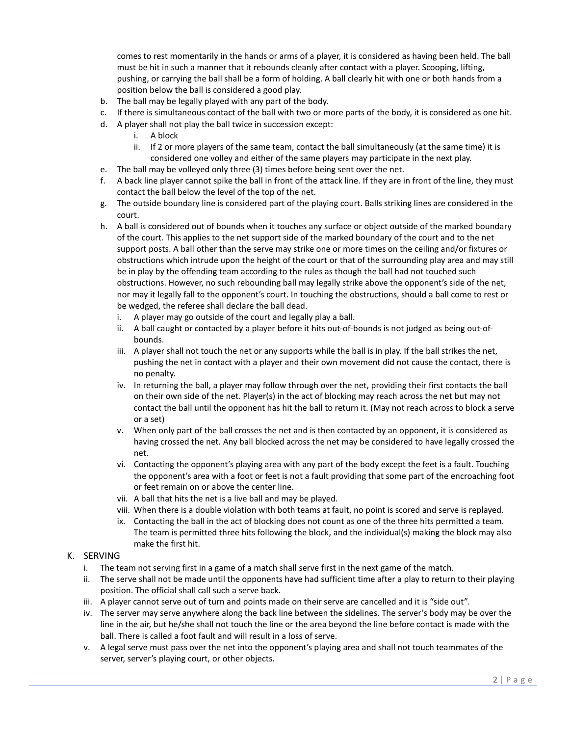comes to rest momentarily in the hands or arms of a player, it is considered as having been held. The ball must be hit in such a manner that it rebounds cleanly after contact with a player. Scooping, lifting, pushing, or carrying the ball shall be a form of holding. A ball clearly hit with one or both hands from a position below the ball is considered a good play.

- b. The ball may be legally played with any part of the body.
- c. If there is simultaneous contact of the ball with two or more parts of the body, it is considered as one hit.
- d. A player shall not play the ball twice in succession except:
	- i. A block
	- ii. If 2 or more players of the same team, contact the ball simultaneously (at the same time) it is considered one volley and either of the same players may participate in the next play.
- e. The ball may be volleyed only three (3) times before being sent over the net.
- f. A back line player cannot spike the ball in front of the attack line. If they are in front of the line, they must contact the ball below the level of the top of the net.
- g. The outside boundary line is considered part of the playing court. Balls striking lines are considered in the court.
- h. A ball is considered out of bounds when it touches any surface or object outside of the marked boundary of the court. This applies to the net support side of the marked boundary of the court and to the net support posts. A ball other than the serve may strike one or more times on the ceiling and/or fixtures or obstructions which intrude upon the height of the court or that of the surrounding play area and may still be in play by the offending team according to the rules as though the ball had not touched such obstructions. However, no such rebounding ball may legally strike above the opponent's side of the net, nor may it legally fall to the opponent's court. In touching the obstructions, should a ball come to rest or be wedged, the referee shall declare the ball dead.
	- i. A player may go outside of the court and legally play a ball.
	- ii. A ball caught or contacted by a player before it hits out-of-bounds is not judged as being out-ofbounds.
	- iii. A player shall not touch the net or any supports while the ball is in play. If the ball strikes the net, pushing the net in contact with a player and their own movement did not cause the contact, there is no penalty.
	- iv. In returning the ball, a player may follow through over the net, providing their first contacts the ball on their own side of the net. Player(s) in the act of blocking may reach across the net but may not contact the ball until the opponent has hit the ball to return it. (May not reach across to block a serve or a set)
	- v. When only part of the ball crosses the net and is then contacted by an opponent, it is considered as having crossed the net. Any ball blocked across the net may be considered to have legally crossed the net.
	- vi. Contacting the opponent's playing area with any part of the body except the feet is a fault. Touching the opponent's area with a foot or feet is not a fault providing that some part of the encroaching foot or feet remain on or above the center line.
	- vii. A ball that hits the net is a live ball and may be played.
	- viii. When there is a double violation with both teams at fault, no point is scored and serve is replayed.
	- ix. Contacting the ball in the act of blocking does not count as one of the three hits permitted a team. The team is permitted three hits following the block, and the individual(s) making the block may also make the first hit.

## K. SERVING

- i. The team not serving first in a game of a match shall serve first in the next game of the match.
- ii. The serve shall not be made until the opponents have had sufficient time after a play to return to their playing position. The official shall call such a serve back.
- iii. A player cannot serve out of turn and points made on their serve are cancelled and it is "side out".
- iv. The server may serve anywhere along the back line between the sidelines. The server's body may be over the line in the air, but he/she shall not touch the line or the area beyond the line before contact is made with the ball. There is called a foot fault and will result in a loss of serve.
- v. A legal serve must pass over the net into the opponent's playing area and shall not touch teammates of the server, server's playing court, or other objects.